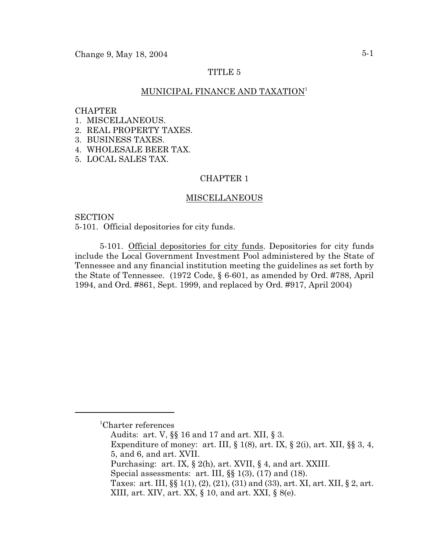Change 9, May  $18, 2004$  5-1

# TITLE 5

# MUNICIPAL FINANCE AND TAXATION<sup>1</sup>

#### **CHAPTER**

- 1. MISCELLANEOUS.
- 2. REAL PROPERTY TAXES.
- 3. BUSINESS TAXES.
- 4. WHOLESALE BEER TAX.
- 5. LOCAL SALES TAX.

# CHAPTER 1

## MISCELLANEOUS

# **SECTION**

5-101. Official depositories for city funds.

5-101. Official depositories for city funds. Depositories for city funds include the Local Government Investment Pool administered by the State of Tennessee and any financial institution meeting the guidelines as set forth by the State of Tennessee. (1972 Code, § 6-601, as amended by Ord. #788, April 1994, and Ord. #861, Sept. 1999, and replaced by Ord. #917, April 2004)

 ${}^{1}$ Charter references

Audits: art. V, §§ 16 and 17 and art. XII, § 3.

Expenditure of money: art. III,  $\S 1(8)$ , art. IX,  $\S 2(i)$ , art. XII,  $\S \ S 3, 4$ , 5, and 6, and art. XVII.

Purchasing: art. IX, § 2(h), art. XVII, § 4, and art. XXIII.

Special assessments: art. III,  $\S$   $1(3)$ ,  $(17)$  and  $(18)$ .

Taxes: art. III, §§ 1(1), (2), (21), (31) and (33), art. XI, art. XII, § 2, art. XIII, art. XIV, art. XX, § 10, and art. XXI, § 8(e).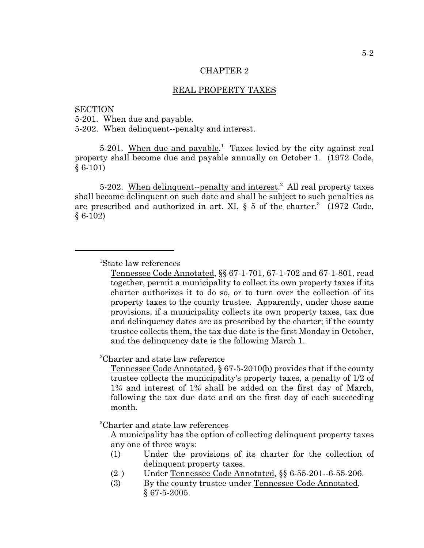## REAL PROPERTY TAXES

#### **SECTION**

5-201. When due and payable.

5-202. When delinquent--penalty and interest.

5-201. When due and payable.<sup>1</sup> Taxes levied by the city against real property shall become due and payable annually on October 1. (1972 Code, § 6-101)

5-202. When delinquent--penalty and interest.<sup>2</sup> All real property taxes shall become delinquent on such date and shall be subject to such penalties as are prescribed and authorized in art. XI,  $\S$  5 of the charter.<sup>3</sup> (1972 Code,  $§ 6-102)$ 

<sup>2</sup>Charter and state law reference

Tennessee Code Annotated, § 67-5-2010(b) provides that if the county trustee collects the municipality's property taxes, a penalty of 1/2 of 1% and interest of 1% shall be added on the first day of March, following the tax due date and on the first day of each succeeding month.

<sup>3</sup>Charter and state law references

A municipality has the option of collecting delinquent property taxes any one of three ways:

- (1) Under the provisions of its charter for the collection of delinquent property taxes.
- (2 ) Under Tennessee Code Annotated, §§ 6-55-201--6-55-206.
- (3) By the county trustee under Tennessee Code Annotated, § 67-5-2005.

<sup>&</sup>lt;sup>1</sup>State law references

Tennessee Code Annotated, §§ 67-1-701, 67-1-702 and 67-1-801, read together, permit a municipality to collect its own property taxes if its charter authorizes it to do so, or to turn over the collection of its property taxes to the county trustee. Apparently, under those same provisions, if a municipality collects its own property taxes, tax due and delinquency dates are as prescribed by the charter; if the county trustee collects them, the tax due date is the first Monday in October, and the delinquency date is the following March 1.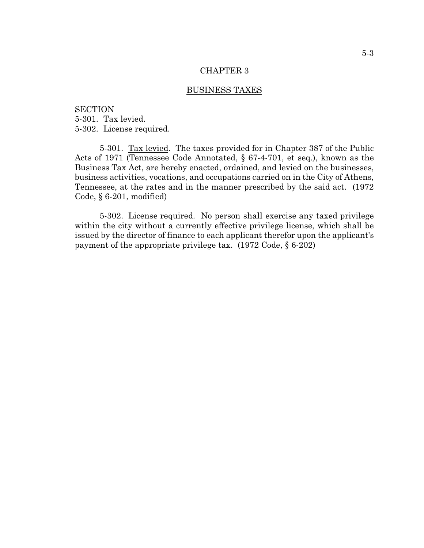## BUSINESS TAXES

**SECTION** 5-301. Tax levied. 5-302. License required.

5-301. Tax levied. The taxes provided for in Chapter 387 of the Public Acts of 1971 (Tennessee Code Annotated, § 67-4-701, et seq.), known as the Business Tax Act, are hereby enacted, ordained, and levied on the businesses, business activities, vocations, and occupations carried on in the City of Athens, Tennessee, at the rates and in the manner prescribed by the said act. (1972 Code, § 6-201, modified)

5-302. License required. No person shall exercise any taxed privilege within the city without a currently effective privilege license, which shall be issued by the director of finance to each applicant therefor upon the applicant's payment of the appropriate privilege tax. (1972 Code, § 6-202)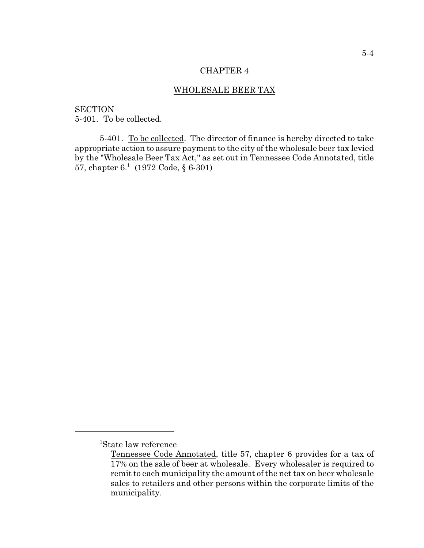# WHOLESALE BEER TAX

**SECTION** 5-401. To be collected.

5-401. To be collected. The director of finance is hereby directed to take appropriate action to assure payment to the city of the wholesale beer tax levied by the "Wholesale Beer Tax Act," as set out in Tennessee Code Annotated, title 57, chapter  $6<sup>1</sup>$  (1972 Code, § 6-301)

<sup>&</sup>lt;sup>1</sup>State law reference

Tennessee Code Annotated, title 57, chapter 6 provides for a tax of 17% on the sale of beer at wholesale. Every wholesaler is required to remit to each municipality the amount of the net tax on beer wholesale sales to retailers and other persons within the corporate limits of the municipality.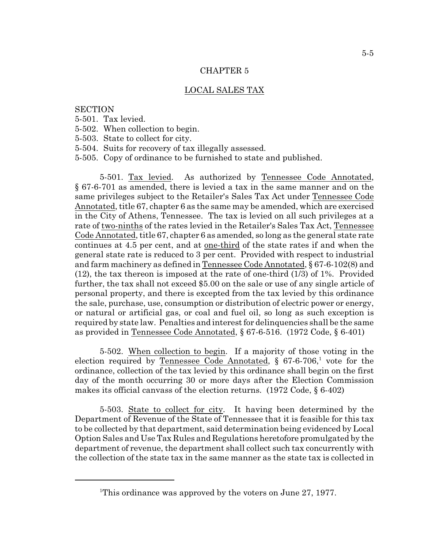# LOCAL SALES TAX

# **SECTION**

- 5-501. Tax levied.
- 5-502. When collection to begin.
- 5-503. State to collect for city.
- 5-504. Suits for recovery of tax illegally assessed.
- 5-505. Copy of ordinance to be furnished to state and published.

5-501. Tax levied. As authorized by Tennessee Code Annotated, § 67-6-701 as amended, there is levied a tax in the same manner and on the same privileges subject to the Retailer's Sales Tax Act under Tennessee Code Annotated, title 67, chapter 6 as the same may be amended, which are exercised in the City of Athens, Tennessee. The tax is levied on all such privileges at a rate of two-ninths of the rates levied in the Retailer's Sales Tax Act, Tennessee Code Annotated, title 67, chapter 6 as amended, so long as the general state rate continues at 4.5 per cent, and at one-third of the state rates if and when the general state rate is reduced to 3 per cent. Provided with respect to industrial and farm machinery as defined in Tennessee Code Annotated, § 67-6-102(8) and (12), the tax thereon is imposed at the rate of one-third (1/3) of 1%. Provided further, the tax shall not exceed \$5.00 on the sale or use of any single article of personal property, and there is excepted from the tax levied by this ordinance the sale, purchase, use, consumption or distribution of electric power or energy, or natural or artificial gas, or coal and fuel oil, so long as such exception is required by state law. Penalties and interest for delinquencies shall be the same as provided in Tennessee Code Annotated, § 67-6-516. (1972 Code, § 6-401)

5-502. When collection to begin. If a majority of those voting in the election required by Tennessee Code Annotated,  $\S$  67-6-706,<sup>1</sup> vote for the ordinance, collection of the tax levied by this ordinance shall begin on the first day of the month occurring 30 or more days after the Election Commission makes its official canvass of the election returns. (1972 Code, § 6-402)

5-503. State to collect for city. It having been determined by the Department of Revenue of the State of Tennessee that it is feasible for this tax to be collected by that department, said determination being evidenced by Local Option Sales and Use Tax Rules and Regulations heretofore promulgated by the department of revenue, the department shall collect such tax concurrently with the collection of the state tax in the same manner as the state tax is collected in

<sup>&</sup>lt;sup>1</sup>This ordinance was approved by the voters on June 27, 1977.